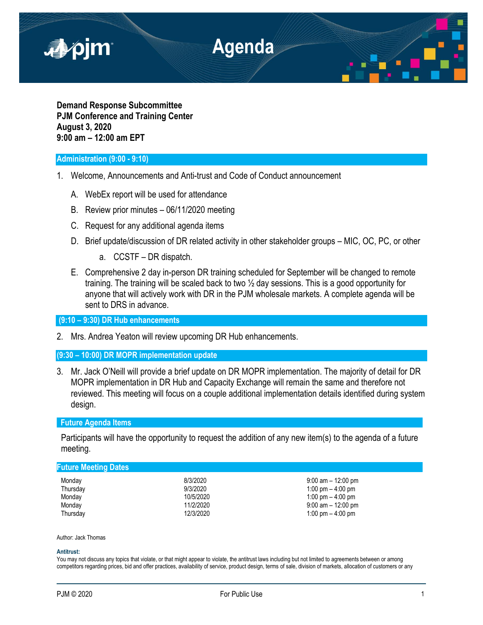

**Demand Response Subcommittee PJM Conference and Training Center August 3, 2020 9:00 am – 12:00 am EPT**

# **Administration (9:00 - 9:10)**

- 1. Welcome, Announcements and Anti-trust and Code of Conduct announcement
	- A. WebEx report will be used for attendance
	- B. Review prior minutes 06/11/2020 meeting
	- C. Request for any additional agenda items
	- D. Brief update/discussion of DR related activity in other stakeholder groups MIC, OC, PC, or other
		- a. CCSTF DR dispatch.
	- E. Comprehensive 2 day in-person DR training scheduled for September will be changed to remote training. The training will be scaled back to two ½ day sessions. This is a good opportunity for anyone that will actively work with DR in the PJM wholesale markets. A complete agenda will be sent to DRS in advance.

**(9:10 – 9:30) DR Hub enhancements**

2. Mrs. Andrea Yeaton will review upcoming DR Hub enhancements.

## **(9:30 – 10:00) DR MOPR implementation update**

3. Mr. Jack O'Neill will provide a brief update on DR MOPR implementation. The majority of detail for DR MOPR implementation in DR Hub and Capacity Exchange will remain the same and therefore not reviewed. This meeting will focus on a couple additional implementation details identified during system design.

## **Future Agenda Items**

Participants will have the opportunity to request the addition of any new item(s) to the agenda of a future meeting.

### **Future Meeting Dates**

| 8/3/2020  |
|-----------|
| 9/3/2020  |
| 10/5/2020 |
| 11/2/2020 |
| 12/3/2020 |
|           |

9:00 am - 12:00 pm 1:00 pm  $-$  4:00 pm 1:00 pm  $-$  4:00 pm  $9:00$  am  $- 12:00$  pm 1:00 pm  $-$  4:00 pm

Author: Jack Thomas

#### **Antitrust:**

You may not discuss any topics that violate, or that might appear to violate, the antitrust laws including but not limited to agreements between or among competitors regarding prices, bid and offer practices, availability of service, product design, terms of sale, division of markets, allocation of customers or any